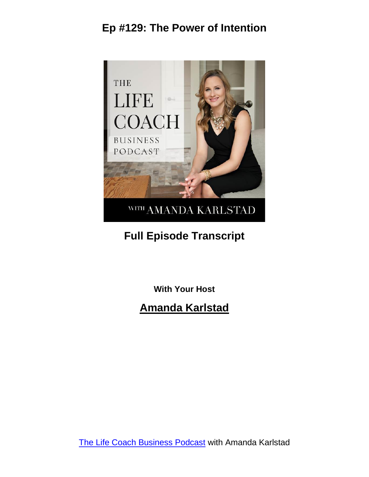

# **Full Episode Transcript**

**With Your Host**

#### **Amanda Karlstad**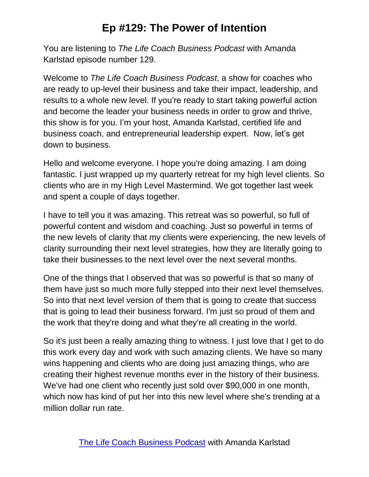You are listening to *The Life Coach Business Podcast* with Amanda Karlstad episode number 129.

Welcome to *The Life Coach Business Podcast*, a show for coaches who are ready to up-level their business and take their impact, leadership, and results to a whole new level. If you're ready to start taking powerful action and become the leader your business needs in order to grow and thrive, this show is for you. I'm your host, Amanda Karlstad, certified life and business coach, and entrepreneurial leadership expert. Now, let's get down to business.

Hello and welcome everyone. I hope you're doing amazing. I am doing fantastic. I just wrapped up my quarterly retreat for my high level clients. So clients who are in my High Level Mastermind. We got together last week and spent a couple of days together.

I have to tell you it was amazing. This retreat was so powerful, so full of powerful content and wisdom and coaching. Just so powerful in terms of the new levels of clarity that my clients were experiencing, the new levels of clarity surrounding their next level strategies, how they are literally going to take their businesses to the next level over the next several months.

One of the things that I observed that was so powerful is that so many of them have just so much more fully stepped into their next level themselves. So into that next level version of them that is going to create that success that is going to lead their business forward. I'm just so proud of them and the work that they're doing and what they're all creating in the world.

So it's just been a really amazing thing to witness. I just love that I get to do this work every day and work with such amazing clients. We have so many wins happening and clients who are doing just amazing things, who are creating their highest revenue months ever in the history of their business. We've had one client who recently just sold over \$90,000 in one month, which now has kind of put her into this new level where she's trending at a million dollar run rate.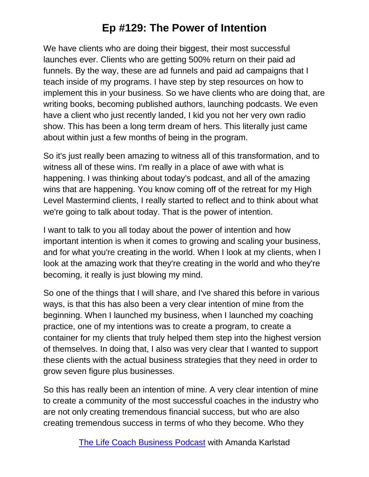We have clients who are doing their biggest, their most successful launches ever. Clients who are getting 500% return on their paid ad funnels. By the way, these are ad funnels and paid ad campaigns that I teach inside of my programs. I have step by step resources on how to implement this in your business. So we have clients who are doing that, are writing books, becoming published authors, launching podcasts. We even have a client who just recently landed, I kid you not her very own radio show. This has been a long term dream of hers. This literally just came about within just a few months of being in the program.

So it's just really been amazing to witness all of this transformation, and to witness all of these wins. I'm really in a place of awe with what is happening. I was thinking about today's podcast, and all of the amazing wins that are happening. You know coming off of the retreat for my High Level Mastermind clients, I really started to reflect and to think about what we're going to talk about today. That is the power of intention.

I want to talk to you all today about the power of intention and how important intention is when it comes to growing and scaling your business, and for what you're creating in the world. When I look at my clients, when I look at the amazing work that they're creating in the world and who they're becoming, it really is just blowing my mind.

So one of the things that I will share, and I've shared this before in various ways, is that this has also been a very clear intention of mine from the beginning. When I launched my business, when I launched my coaching practice, one of my intentions was to create a program, to create a container for my clients that truly helped them step into the highest version of themselves. In doing that, I also was very clear that I wanted to support these clients with the actual business strategies that they need in order to grow seven figure plus businesses.

So this has really been an intention of mine. A very clear intention of mine to create a community of the most successful coaches in the industry who are not only creating tremendous financial success, but who are also creating tremendous success in terms of who they become. Who they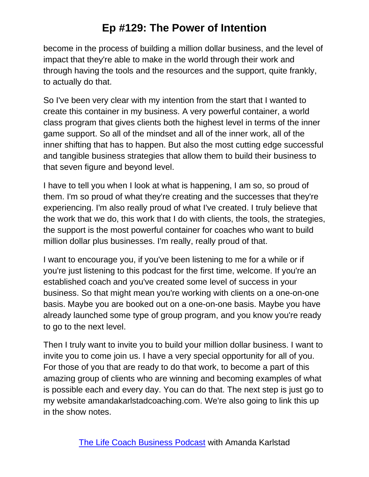become in the process of building a million dollar business, and the level of impact that they're able to make in the world through their work and through having the tools and the resources and the support, quite frankly, to actually do that.

So I've been very clear with my intention from the start that I wanted to create this container in my business. A very powerful container, a world class program that gives clients both the highest level in terms of the inner game support. So all of the mindset and all of the inner work, all of the inner shifting that has to happen. But also the most cutting edge successful and tangible business strategies that allow them to build their business to that seven figure and beyond level.

I have to tell you when I look at what is happening, I am so, so proud of them. I'm so proud of what they're creating and the successes that they're experiencing. I'm also really proud of what I've created. I truly believe that the work that we do, this work that I do with clients, the tools, the strategies, the support is the most powerful container for coaches who want to build million dollar plus businesses. I'm really, really proud of that.

I want to encourage you, if you've been listening to me for a while or if you're just listening to this podcast for the first time, welcome. If you're an established coach and you've created some level of success in your business. So that might mean you're working with clients on a one-on-one basis. Maybe you are booked out on a one-on-one basis. Maybe you have already launched some type of group program, and you know you're ready to go to the next level.

Then I truly want to invite you to build your million dollar business. I want to invite you to come join us. I have a very special opportunity for all of you. For those of you that are ready to do that work, to become a part of this amazing group of clients who are winning and becoming examples of what is possible each and every day. You can do that. The next step is just go to my website amandakarlstadcoaching.com. We're also going to link this up in the show notes.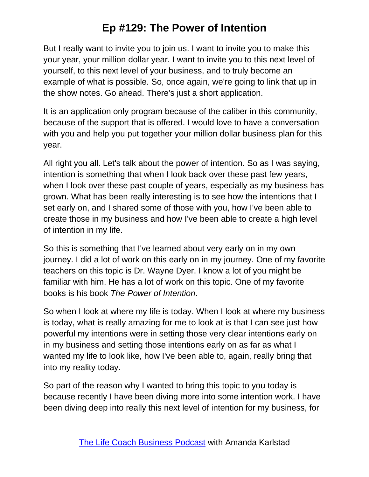But I really want to invite you to join us. I want to invite you to make this your year, your million dollar year. I want to invite you to this next level of yourself, to this next level of your business, and to truly become an example of what is possible. So, once again, we're going to link that up in the show notes. Go ahead. There's just a short application.

It is an application only program because of the caliber in this community, because of the support that is offered. I would love to have a conversation with you and help you put together your million dollar business plan for this year.

All right you all. Let's talk about the power of intention. So as I was saying, intention is something that when I look back over these past few years, when I look over these past couple of years, especially as my business has grown. What has been really interesting is to see how the intentions that I set early on, and I shared some of those with you, how I've been able to create those in my business and how I've been able to create a high level of intention in my life.

So this is something that I've learned about very early on in my own journey. I did a lot of work on this early on in my journey. One of my favorite teachers on this topic is Dr. Wayne Dyer. I know a lot of you might be familiar with him. He has a lot of work on this topic. One of my favorite books is his book *The Power of Intention*.

So when I look at where my life is today. When I look at where my business is today, what is really amazing for me to look at is that I can see just how powerful my intentions were in setting those very clear intentions early on in my business and setting those intentions early on as far as what I wanted my life to look like, how I've been able to, again, really bring that into my reality today.

So part of the reason why I wanted to bring this topic to you today is because recently I have been diving more into some intention work. I have been diving deep into really this next level of intention for my business, for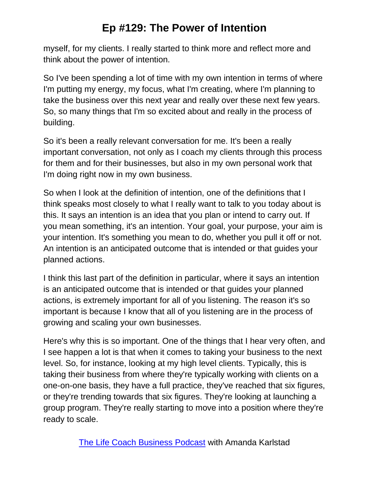myself, for my clients. I really started to think more and reflect more and think about the power of intention.

So I've been spending a lot of time with my own intention in terms of where I'm putting my energy, my focus, what I'm creating, where I'm planning to take the business over this next year and really over these next few years. So, so many things that I'm so excited about and really in the process of building.

So it's been a really relevant conversation for me. It's been a really important conversation, not only as I coach my clients through this process for them and for their businesses, but also in my own personal work that I'm doing right now in my own business.

So when I look at the definition of intention, one of the definitions that I think speaks most closely to what I really want to talk to you today about is this. It says an intention is an idea that you plan or intend to carry out. If you mean something, it's an intention. Your goal, your purpose, your aim is your intention. It's something you mean to do, whether you pull it off or not. An intention is an anticipated outcome that is intended or that guides your planned actions.

I think this last part of the definition in particular, where it says an intention is an anticipated outcome that is intended or that guides your planned actions, is extremely important for all of you listening. The reason it's so important is because I know that all of you listening are in the process of growing and scaling your own businesses.

Here's why this is so important. One of the things that I hear very often, and I see happen a lot is that when it comes to taking your business to the next level. So, for instance, looking at my high level clients. Typically, this is taking their business from where they're typically working with clients on a one-on-one basis, they have a full practice, they've reached that six figures, or they're trending towards that six figures. They're looking at launching a group program. They're really starting to move into a position where they're ready to scale.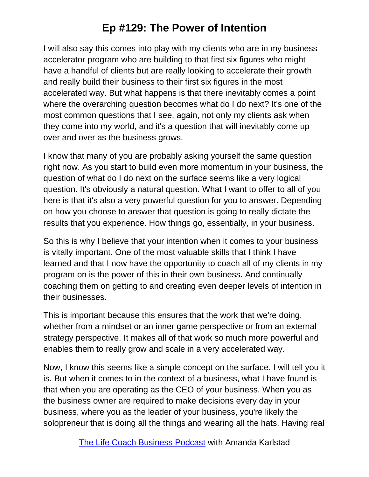I will also say this comes into play with my clients who are in my business accelerator program who are building to that first six figures who might have a handful of clients but are really looking to accelerate their growth and really build their business to their first six figures in the most accelerated way. But what happens is that there inevitably comes a point where the overarching question becomes what do I do next? It's one of the most common questions that I see, again, not only my clients ask when they come into my world, and it's a question that will inevitably come up over and over as the business grows.

I know that many of you are probably asking yourself the same question right now. As you start to build even more momentum in your business, the question of what do I do next on the surface seems like a very logical question. It's obviously a natural question. What I want to offer to all of you here is that it's also a very powerful question for you to answer. Depending on how you choose to answer that question is going to really dictate the results that you experience. How things go, essentially, in your business.

So this is why I believe that your intention when it comes to your business is vitally important. One of the most valuable skills that I think I have learned and that I now have the opportunity to coach all of my clients in my program on is the power of this in their own business. And continually coaching them on getting to and creating even deeper levels of intention in their businesses.

This is important because this ensures that the work that we're doing, whether from a mindset or an inner game perspective or from an external strategy perspective. It makes all of that work so much more powerful and enables them to really grow and scale in a very accelerated way.

Now, I know this seems like a simple concept on the surface. I will tell you it is. But when it comes to in the context of a business, what I have found is that when you are operating as the CEO of your business. When you as the business owner are required to make decisions every day in your business, where you as the leader of your business, you're likely the solopreneur that is doing all the things and wearing all the hats. Having real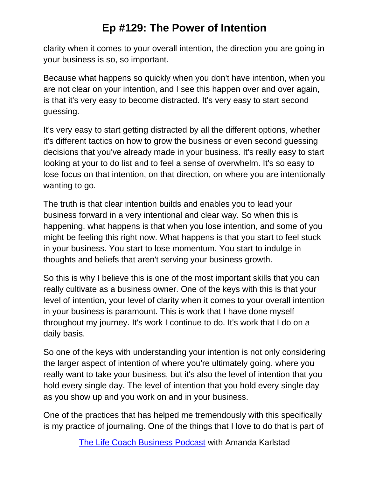clarity when it comes to your overall intention, the direction you are going in your business is so, so important.

Because what happens so quickly when you don't have intention, when you are not clear on your intention, and I see this happen over and over again, is that it's very easy to become distracted. It's very easy to start second guessing.

It's very easy to start getting distracted by all the different options, whether it's different tactics on how to grow the business or even second guessing decisions that you've already made in your business. It's really easy to start looking at your to do list and to feel a sense of overwhelm. It's so easy to lose focus on that intention, on that direction, on where you are intentionally wanting to go.

The truth is that clear intention builds and enables you to lead your business forward in a very intentional and clear way. So when this is happening, what happens is that when you lose intention, and some of you might be feeling this right now. What happens is that you start to feel stuck in your business. You start to lose momentum. You start to indulge in thoughts and beliefs that aren't serving your business growth.

So this is why I believe this is one of the most important skills that you can really cultivate as a business owner. One of the keys with this is that your level of intention, your level of clarity when it comes to your overall intention in your business is paramount. This is work that I have done myself throughout my journey. It's work I continue to do. It's work that I do on a daily basis.

So one of the keys with understanding your intention is not only considering the larger aspect of intention of where you're ultimately going, where you really want to take your business, but it's also the level of intention that you hold every single day. The level of intention that you hold every single day as you show up and you work on and in your business.

One of the practices that has helped me tremendously with this specifically is my practice of journaling. One of the things that I love to do that is part of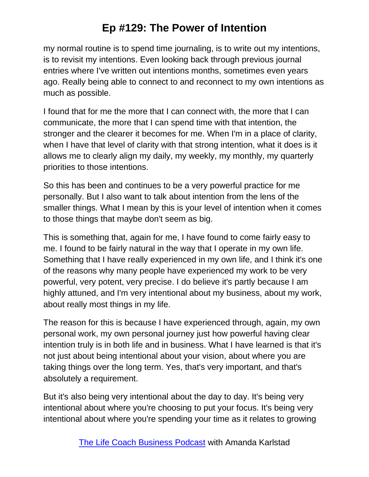my normal routine is to spend time journaling, is to write out my intentions, is to revisit my intentions. Even looking back through previous journal entries where I've written out intentions months, sometimes even years ago. Really being able to connect to and reconnect to my own intentions as much as possible.

I found that for me the more that I can connect with, the more that I can communicate, the more that I can spend time with that intention, the stronger and the clearer it becomes for me. When I'm in a place of clarity, when I have that level of clarity with that strong intention, what it does is it allows me to clearly align my daily, my weekly, my monthly, my quarterly priorities to those intentions.

So this has been and continues to be a very powerful practice for me personally. But I also want to talk about intention from the lens of the smaller things. What I mean by this is your level of intention when it comes to those things that maybe don't seem as big.

This is something that, again for me, I have found to come fairly easy to me. I found to be fairly natural in the way that I operate in my own life. Something that I have really experienced in my own life, and I think it's one of the reasons why many people have experienced my work to be very powerful, very potent, very precise. I do believe it's partly because I am highly attuned, and I'm very intentional about my business, about my work, about really most things in my life.

The reason for this is because I have experienced through, again, my own personal work, my own personal journey just how powerful having clear intention truly is in both life and in business. What I have learned is that it's not just about being intentional about your vision, about where you are taking things over the long term. Yes, that's very important, and that's absolutely a requirement.

But it's also being very intentional about the day to day. It's being very intentional about where you're choosing to put your focus. It's being very intentional about where you're spending your time as it relates to growing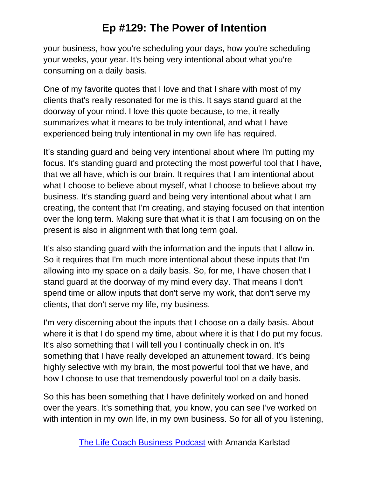your business, how you're scheduling your days, how you're scheduling your weeks, your year. It's being very intentional about what you're consuming on a daily basis.

One of my favorite quotes that I love and that I share with most of my clients that's really resonated for me is this. It says stand guard at the doorway of your mind. I love this quote because, to me, it really summarizes what it means to be truly intentional, and what I have experienced being truly intentional in my own life has required.

It's standing guard and being very intentional about where I'm putting my focus. It's standing guard and protecting the most powerful tool that I have, that we all have, which is our brain. It requires that I am intentional about what I choose to believe about myself, what I choose to believe about my business. It's standing guard and being very intentional about what I am creating, the content that I'm creating, and staying focused on that intention over the long term. Making sure that what it is that I am focusing on on the present is also in alignment with that long term goal.

It's also standing guard with the information and the inputs that I allow in. So it requires that I'm much more intentional about these inputs that I'm allowing into my space on a daily basis. So, for me, I have chosen that I stand guard at the doorway of my mind every day. That means I don't spend time or allow inputs that don't serve my work, that don't serve my clients, that don't serve my life, my business.

I'm very discerning about the inputs that I choose on a daily basis. About where it is that I do spend my time, about where it is that I do put my focus. It's also something that I will tell you I continually check in on. It's something that I have really developed an attunement toward. It's being highly selective with my brain, the most powerful tool that we have, and how I choose to use that tremendously powerful tool on a daily basis.

So this has been something that I have definitely worked on and honed over the years. It's something that, you know, you can see I've worked on with intention in my own life, in my own business. So for all of you listening,